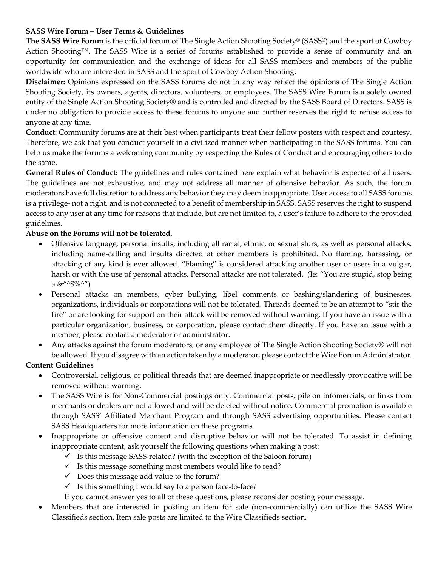### **SASS Wire Forum – User Terms & Guidelines**

**The SASS Wire Forum** is the official forum of The Single Action Shooting Society® (SASS®) and the sport of Cowboy Action Shooting™. The SASS Wire is a series of forums established to provide a sense of community and an opportunity for communication and the exchange of ideas for all SASS members and members of the public worldwide who are interested in SASS and the sport of Cowboy Action Shooting.

**Disclaimer:** Opinions expressed on the SASS forums do not in any way reflect the opinions of The Single Action Shooting Society, its owners, agents, directors, volunteers, or employees. The SASS Wire Forum is a solely owned entity of the Single Action Shooting Society® and is controlled and directed by the SASS Board of Directors. SASS is under no obligation to provide access to these forums to anyone and further reserves the right to refuse access to anyone at any time.

**Conduct:** Community forums are at their best when participants treat their fellow posters with respect and courtesy. Therefore, we ask that you conduct yourself in a civilized manner when participating in the SASS forums. You can help us make the forums a welcoming community by respecting the Rules of Conduct and encouraging others to do the same.

**General Rules of Conduct:** The guidelines and rules contained here explain what behavior is expected of all users. The guidelines are not exhaustive, and may not address all manner of offensive behavior. As such, the forum moderators have full discretion to address any behavior they may deem inappropriate. User access to all SASS forums is a privilege- not a right, and is not connected to a benefit of membership in SASS. SASS reserves the right to suspend access to any user at any time for reasons that include, but are not limited to, a user's failure to adhere to the provided guidelines.

#### **Abuse on the Forums will not be tolerated.**

- Offensive language, personal insults, including all racial, ethnic, or sexual slurs, as well as personal attacks, including name-calling and insults directed at other members is prohibited. No flaming, harassing, or attacking of any kind is ever allowed. "Flaming" is considered attacking another user or users in a vulgar, harsh or with the use of personal attacks. Personal attacks are not tolerated. (Ie: "You are stupid, stop being a  $&^{\wedge^{\wedge}\$}\%^{\wedge''}$
- Personal attacks on members, cyber bullying, libel comments or bashing/slandering of businesses, organizations, individuals or corporations will not be tolerated. Threads deemed to be an attempt to "stir the fire" or are looking for support on their attack will be removed without warning. If you have an issue with a particular organization, business, or corporation, please contact them directly. If you have an issue with a member, please contact a moderator or administrator.
- Any attacks against the forum moderators, or any employee of The Single Action Shooting Society® will not be allowed. If you disagree with an action taken by a moderator, please contact the Wire Forum Administrator.

#### **Content Guidelines**

- Controversial, religious, or political threads that are deemed inappropriate or needlessly provocative will be removed without warning.
- The SASS Wire is for Non-Commercial postings only. Commercial posts, pile on infomercials, or links from merchants or dealers are not allowed and will be deleted without notice. Commercial promotion is available through SASS' Affiliated Merchant Program and through SASS advertising opportunities. Please contact SASS Headquarters for more information on these programs.
- Inappropriate or offensive content and disruptive behavior will not be tolerated. To assist in defining inappropriate content, ask yourself the following questions when making a post:
	- $\checkmark$  Is this message SASS-related? (with the exception of the Saloon forum)
	- $\checkmark$  Is this message something most members would like to read?
	- $\checkmark$  Does this message add value to the forum?
	- $\checkmark$  Is this something I would say to a person face-to-face?
	- If you cannot answer yes to all of these questions, please reconsider posting your message.
- Members that are interested in posting an item for sale (non-commercially) can utilize the SASS Wire Classifieds section. Item sale posts are limited to the Wire Classifieds section.